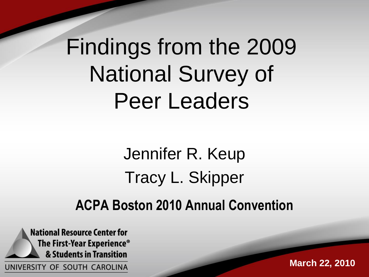## Findings from the 2009 National Survey of Peer Leaders

#### Jennifer R. Keup Tracy L. Skipper **ACPA Boston 2010 Annual Convention**

**National Resource Center for** The First-Year Experience<sup>®</sup> & Students in Transition UNIVERSITY OF SOUTH CAROLINA

**March 22, 2010**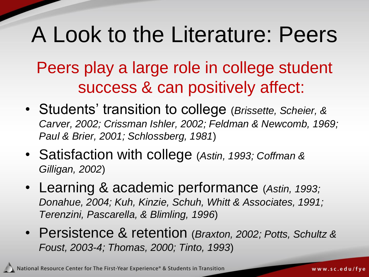### A Look to the Literature: Peers

Peers play a large role in college student success & can positively affect:

- Students' transition to college (*Brissette, Scheier, & Carver, 2002; Crissman Ishler, 2002; Feldman & Newcomb, 1969; Paul & Brier, 2001; Schlossberg, 1981*)
- Satisfaction with college (*Astin, 1993; Coffman & Gilligan, 2002*)
- Learning & academic performance (*Astin, 1993; Donahue, 2004; Kuh, Kinzie, Schuh, Whitt & Associates, 1991; Terenzini, Pascarella, & Blimling, 1996*)
- Persistence & retention (*Braxton, 2002; Potts, Schultz & Foust, 2003-4; Thomas, 2000; Tinto, 1993*)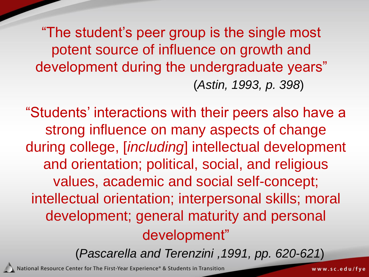"The student's peer group is the single most potent source of influence on growth and development during the undergraduate years" (*Astin, 1993, p. 398*)

"Students' interactions with their peers also have a strong influence on many aspects of change during college, [*including*] intellectual development and orientation; political, social, and religious values, academic and social self-concept; intellectual orientation; interpersonal skills; moral development; general maturity and personal development"

(*Pascarella and Terenzini ,1991, pp. 620-621*)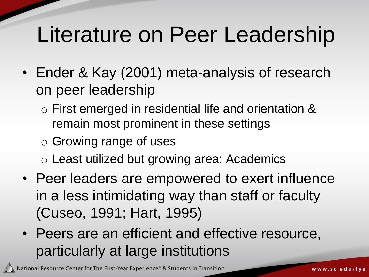### Literature on Peer Leadership

- Ender & Kay (2001) meta-analysis of research on peer leadership
	- o First emerged in residential life and orientation & remain most prominent in these settings
	- o Growing range of uses
	- o Least utilized but growing area: Academics
- Peer leaders are empowered to exert influence in a less intimidating way than staff or faculty (Cuseo, 1991; Hart, 1995)
- Peers are an efficient and effective resource, particularly at large institutions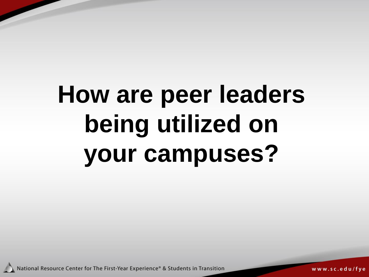# **How are peer leaders being utilized on your campuses?**

National Resource Center for The First-Year Experience® & Students in Transition

www.sc.edu/fye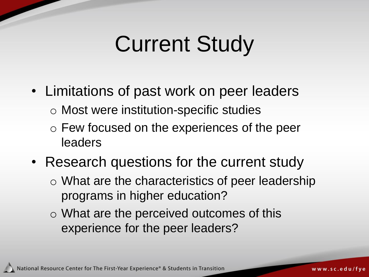### Current Study

- Limitations of past work on peer leaders
	- o Most were institution-specific studies
	- o Few focused on the experiences of the peer leaders
- Research questions for the current study
	- o What are the characteristics of peer leadership programs in higher education?
	- o What are the perceived outcomes of this experience for the peer leaders?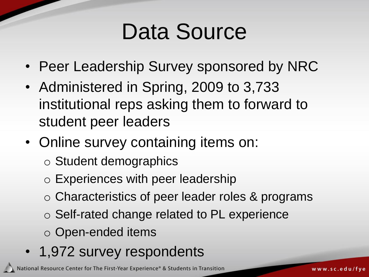### Data Source

- Peer Leadership Survey sponsored by NRC
- Administered in Spring, 2009 to 3,733 institutional reps asking them to forward to student peer leaders
- Online survey containing items on:
	- o Student demographics
	- o Experiences with peer leadership
	- o Characteristics of peer leader roles & programs
	- o Self-rated change related to PL experience
	- o Open-ended items
- 1,972 survey respondents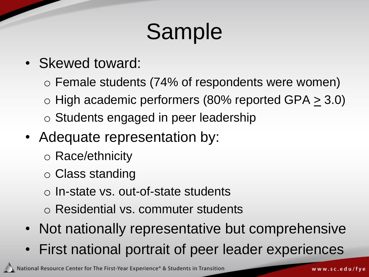# Sample

- Skewed toward:
	- o Female students (74% of respondents were women)
	- $\circ$  High academic performers (80% reported GPA  $\geq$  3.0)
	- o Students engaged in peer leadership
- Adequate representation by:
	- o Race/ethnicity
	- o Class standing
	- o In-state vs. out-of-state students
	- o Residential vs. commuter students
- Not nationally representative but comprehensive
- First national portrait of peer leader experiences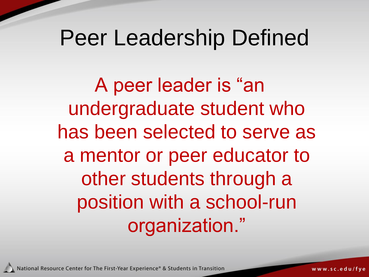#### Peer Leadership Defined

A peer leader is "an undergraduate student who has been selected to serve as a mentor or peer educator to other students through a position with a school-run organization."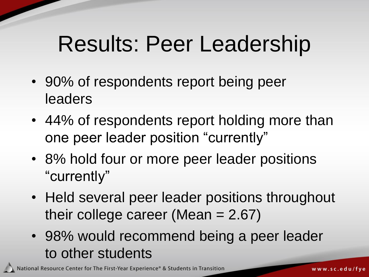### Results: Peer Leadership

- 90% of respondents report being peer leaders
- 44% of respondents report holding more than one peer leader position "currently"
- 8% hold four or more peer leader positions "currently"
- Held several peer leader positions throughout their college career (Mean  $= 2.67$ )
- 98% would recommend being a peer leader to other students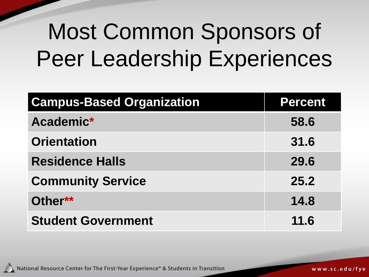## Most Common Sponsors of Peer Leadership Experiences

| <b>Campus-Based Organization</b> | <b>Percent</b> |
|----------------------------------|----------------|
| Academic*                        | 58.6           |
| <b>Orientation</b>               | 31.6           |
| <b>Residence Halls</b>           | 29.6           |
| <b>Community Service</b>         | 25.2           |
| Other**                          | 14.8           |
| <b>Student Government</b>        | 11.6           |

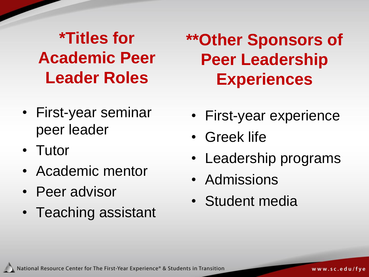**\*Titles for Academic Peer Leader Roles**

- First-year seminar peer leader
- Tutor
- Academic mentor
- Peer advisor
- Teaching assistant

**\*\*Other Sponsors of Peer Leadership Experiences** 

- First-year experience
- Greek life
- Leadership programs
- Admissions
- Student media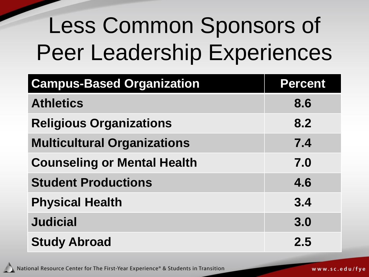# Less Common Sponsors of Peer Leadership Experiences

| <b>Campus-Based Organization</b>   | <b>Percent</b> |
|------------------------------------|----------------|
| <b>Athletics</b>                   | 8.6            |
| <b>Religious Organizations</b>     | 8.2            |
| <b>Multicultural Organizations</b> | 7.4            |
| <b>Counseling or Mental Health</b> | 7.0            |
| <b>Student Productions</b>         | 4.6            |
| <b>Physical Health</b>             | 3.4            |
| <b>Judicial</b>                    | 3.0            |
| <b>Study Abroad</b>                | 2.5            |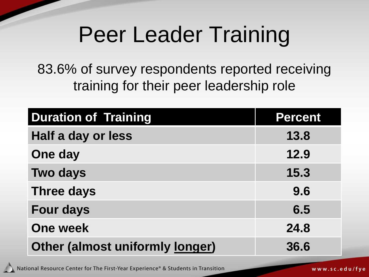### Peer Leader Training

83.6% of survey respondents reported receiving training for their peer leadership role

| <b>Duration of Training</b>            | <b>Percent</b> |
|----------------------------------------|----------------|
| Half a day or less                     | 13.8           |
| One day                                | 12.9           |
| <b>Two days</b>                        | 15.3           |
| <b>Three days</b>                      | 9.6            |
| <b>Four days</b>                       | 6.5            |
| <b>One week</b>                        | 24.8           |
| <b>Other (almost uniformly longer)</b> | 36.6           |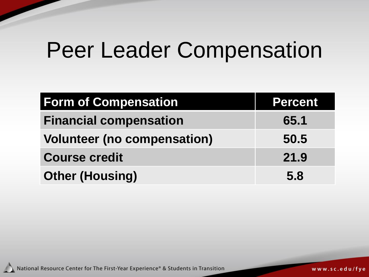### Peer Leader Compensation

| <b>Form of Compensation</b>        | Percent |
|------------------------------------|---------|
| <b>Financial compensation</b>      | 65.1    |
| <b>Volunteer (no compensation)</b> | 50.5    |
| <b>Course credit</b>               | 21.9    |
| <b>Other (Housing)</b>             | 5.8     |

National Resource Center for The First-Year Experience® & Students in Transition

www.sc.edu/fye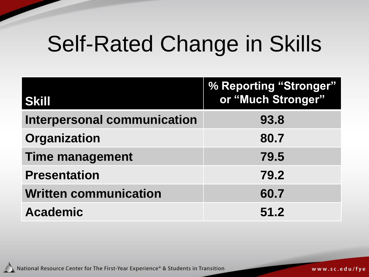### Self-Rated Change in Skills

| <b>Skill</b>                       | % Reporting "Stronger"<br>or "Much Stronger" |
|------------------------------------|----------------------------------------------|
| <b>Interpersonal communication</b> | 93.8                                         |
| <b>Organization</b>                | 80.7                                         |
| <b>Time management</b>             | 79.5                                         |
| <b>Presentation</b>                | 79.2                                         |
| <b>Written communication</b>       | 60.7                                         |
| <b>Academic</b>                    | 51.2                                         |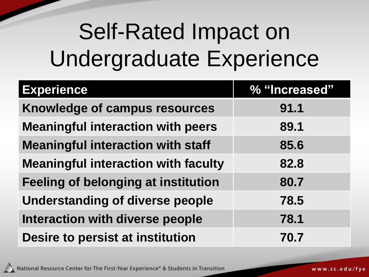## Self-Rated Impact on Undergraduate Experience

| <b>Experience</b>                          | % "Increased" |
|--------------------------------------------|---------------|
| Knowledge of campus resources              | 91.1          |
| <b>Meaningful interaction with peers</b>   | 89.1          |
| <b>Meaningful interaction with staff</b>   | 85.6          |
| <b>Meaningful interaction with faculty</b> | 82.8          |
| Feeling of belonging at institution        | 80.7          |
| <b>Understanding of diverse people</b>     | 78.5          |
| Interaction with diverse people            | 78.1          |
| Desire to persist at institution           | 70.7          |

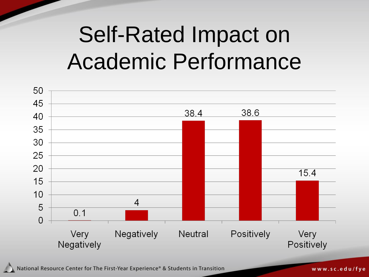## Self-Rated Impact on Academic Performance



National Resource Center for The First-Year Experience® & Students in Transition

www.sc.edu/fye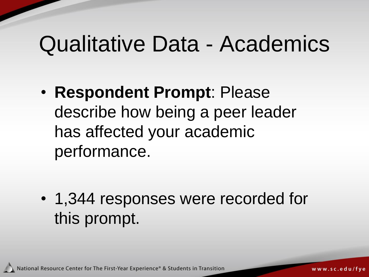#### Qualitative Data - Academics

• **Respondent Prompt**: Please describe how being a peer leader has affected your academic performance.

• 1,344 responses were recorded for this prompt.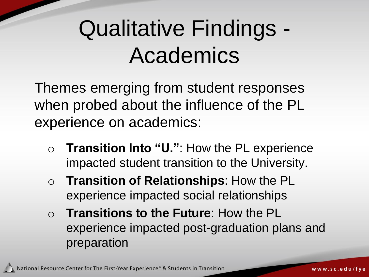## Qualitative Findings - Academics

Themes emerging from student responses when probed about the influence of the PL experience on academics:

- o **Transition Into "U."**: How the PL experience impacted student transition to the University.
- o **Transition of Relationships**: How the PL experience impacted social relationships
- o **Transitions to the Future**: How the PL experience impacted post-graduation plans and preparation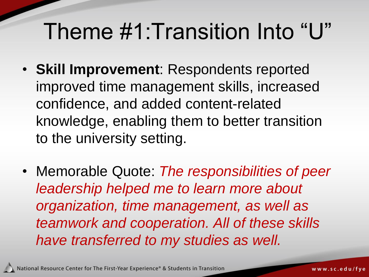### Theme #1:Transition Into "U"

- **Skill Improvement**: Respondents reported improved time management skills, increased confidence, and added content-related knowledge, enabling them to better transition to the university setting.
- Memorable Quote: *The responsibilities of peer leadership helped me to learn more about organization, time management, as well as teamwork and cooperation. All of these skills have transferred to my studies as well.*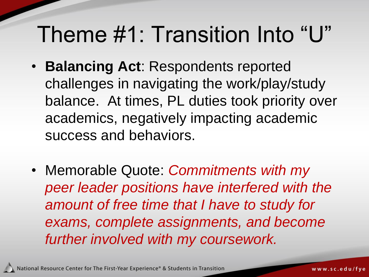### Theme #1: Transition Into "U"

- **Balancing Act**: Respondents reported challenges in navigating the work/play/study balance. At times, PL duties took priority over academics, negatively impacting academic success and behaviors.
- Memorable Quote: *Commitments with my peer leader positions have interfered with the amount of free time that I have to study for exams, complete assignments, and become further involved with my coursework.*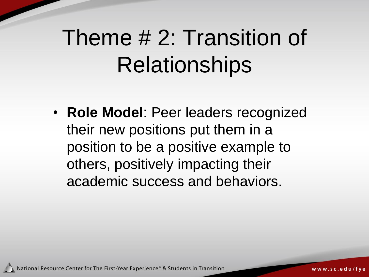## Theme # 2: Transition of **Relationships**

• **Role Model**: Peer leaders recognized their new positions put them in a position to be a positive example to others, positively impacting their academic success and behaviors.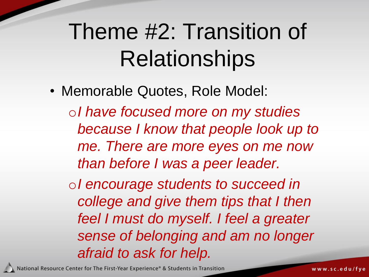## Theme #2: Transition of **Relationships**

• Memorable Quotes, Role Model: o*I have focused more on my studies because I know that people look up to me. There are more eyes on me now than before I was a peer leader.* o*I encourage students to succeed in college and give them tips that I then feel I must do myself. I feel a greater sense of belonging and am no longer* 

National Resource Center for The First-Year Experience® & Students in Transition

*afraid to ask for help.*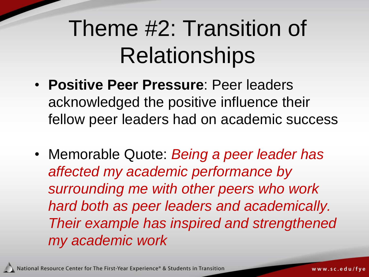## Theme #2: Transition of **Relationships**

- **Positive Peer Pressure**: Peer leaders acknowledged the positive influence their fellow peer leaders had on academic success
- Memorable Quote: *Being a peer leader has affected my academic performance by surrounding me with other peers who work hard both as peer leaders and academically. Their example has inspired and strengthened my academic work*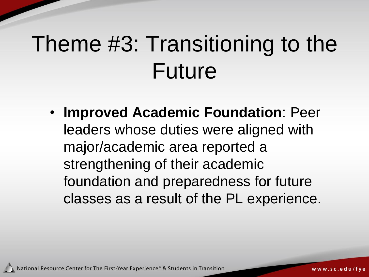# Theme #3: Transitioning to the Future

• **Improved Academic Foundation**: Peer leaders whose duties were aligned with major/academic area reported a strengthening of their academic foundation and preparedness for future classes as a result of the PL experience.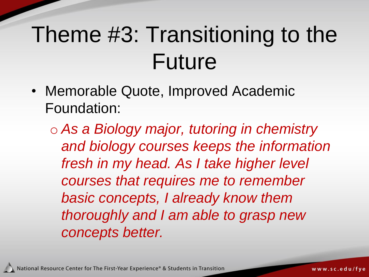## Theme #3: Transitioning to the Future

• Memorable Quote, Improved Academic Foundation:

o *As a Biology major, tutoring in chemistry and biology courses keeps the information fresh in my head. As I take higher level courses that requires me to remember basic concepts, I already know them thoroughly and I am able to grasp new concepts better.*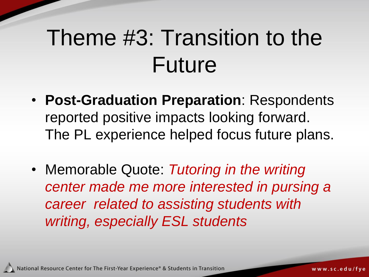## Theme #3: Transition to the Future

- **Post-Graduation Preparation**: Respondents reported positive impacts looking forward. The PL experience helped focus future plans.
- Memorable Quote: *Tutoring in the writing center made me more interested in pursing a career related to assisting students with writing, especially ESL students*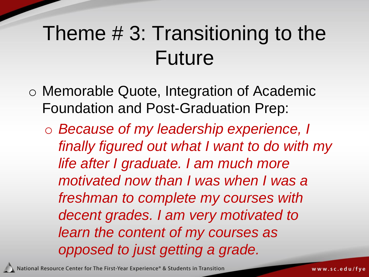#### Theme # 3: Transitioning to the Future

- o Memorable Quote, Integration of Academic Foundation and Post-Graduation Prep:
	- o *Because of my leadership experience, I finally figured out what I want to do with my life after I graduate. I am much more motivated now than I was when I was a freshman to complete my courses with decent grades. I am very motivated to learn the content of my courses as opposed to just getting a grade.*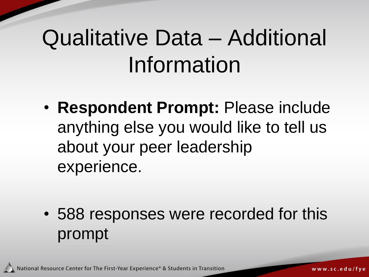# Qualitative Data – Additional Information

• **Respondent Prompt:** Please include anything else you would like to tell us about your peer leadership experience.

• 588 responses were recorded for this prompt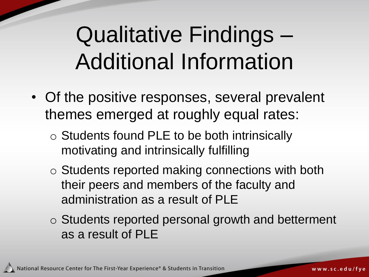## Qualitative Findings – Additional Information

- Of the positive responses, several prevalent themes emerged at roughly equal rates:
	- o Students found PLE to be both intrinsically motivating and intrinsically fulfilling
	- o Students reported making connections with both their peers and members of the faculty and administration as a result of PLE
	- o Students reported personal growth and betterment as a result of PLE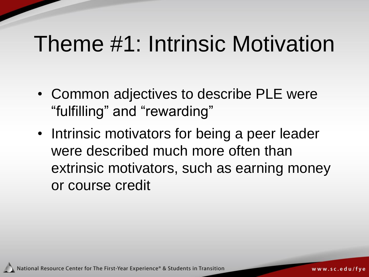### Theme #1: Intrinsic Motivation

- Common adjectives to describe PLE were "fulfilling" and "rewarding"
- Intrinsic motivators for being a peer leader were described much more often than extrinsic motivators, such as earning money or course credit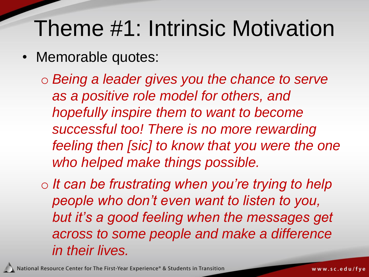### Theme #1: Intrinsic Motivation

- Memorable quotes:
	- o *Being a leader gives you the chance to serve as a positive role model for others, and hopefully inspire them to want to become successful too! There is no more rewarding feeling then [sic] to know that you were the one who helped make things possible.*
	- o *It can be frustrating when you're trying to help people who don't even want to listen to you, but it's a good feeling when the messages get across to some people and make a difference in their lives.*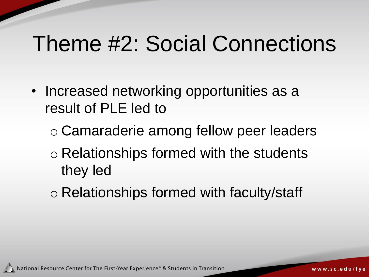#### Theme #2: Social Connections

- Increased networking opportunities as a result of PLE led to
	- o Camaraderie among fellow peer leaders
	- o Relationships formed with the students they led
	- o Relationships formed with faculty/staff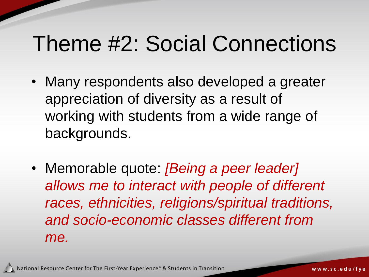#### Theme #2: Social Connections

- Many respondents also developed a greater appreciation of diversity as a result of working with students from a wide range of backgrounds.
- Memorable quote: *[Being a peer leader] allows me to interact with people of different races, ethnicities, religions/spiritual traditions, and socio-economic classes different from me.*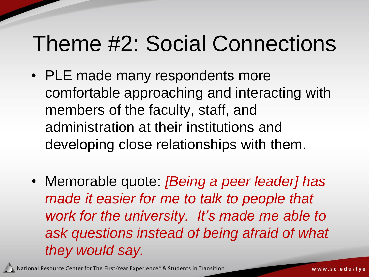### Theme #2: Social Connections

- PLE made many respondents more comfortable approaching and interacting with members of the faculty, staff, and administration at their institutions and developing close relationships with them.
- Memorable quote: *[Being a peer leader] has made it easier for me to talk to people that work for the university. It's made me able to ask questions instead of being afraid of what they would say.*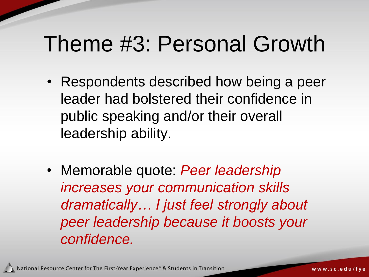### Theme #3: Personal Growth

- Respondents described how being a peer leader had bolstered their confidence in public speaking and/or their overall leadership ability.
- Memorable quote: *Peer leadership increases your communication skills dramatically… I just feel strongly about peer leadership because it boosts your confidence.*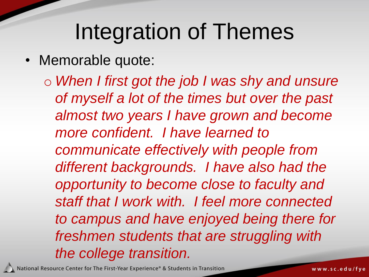#### Integration of Themes

• Memorable quote:

o *When I first got the job I was shy and unsure of myself a lot of the times but over the past almost two years I have grown and become more confident. I have learned to communicate effectively with people from different backgrounds. I have also had the opportunity to become close to faculty and staff that I work with. I feel more connected to campus and have enjoyed being there for freshmen students that are struggling with the college transition.*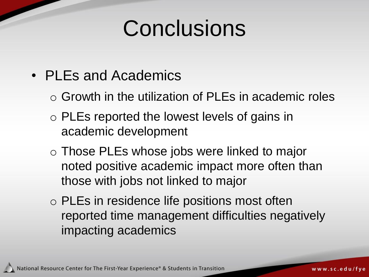### **Conclusions**

- PLEs and Academics
	- o Growth in the utilization of PLEs in academic roles
	- o PLEs reported the lowest levels of gains in academic development
	- o Those PLEs whose jobs were linked to major noted positive academic impact more often than those with jobs not linked to major
	- o PLEs in residence life positions most often reported time management difficulties negatively impacting academics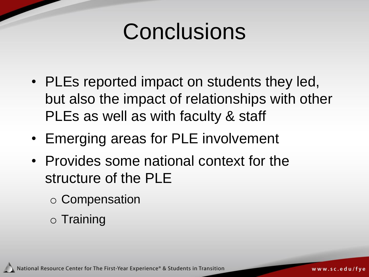### **Conclusions**

- PLEs reported impact on students they led, but also the impact of relationships with other PLEs as well as with faculty & staff
- Emerging areas for PLE involvement
- Provides some national context for the structure of the PLE
	- o Compensation
	- o Training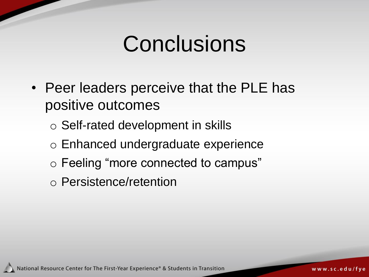### **Conclusions**

- Peer leaders perceive that the PLE has positive outcomes
	- o Self-rated development in skills
	- o Enhanced undergraduate experience
	- o Feeling "more connected to campus"
	- o Persistence/retention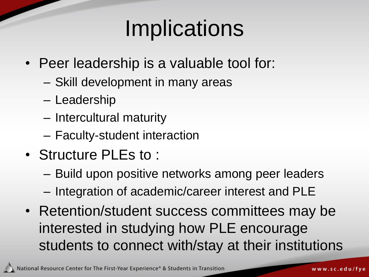## **Implications**

- Peer leadership is a valuable tool for:
	- Skill development in many areas
	- Leadership
	- Intercultural maturity
	- Faculty-student interaction
- Structure PLEs to :
	- Build upon positive networks among peer leaders
	- Integration of academic/career interest and PLE
- Retention/student success committees may be interested in studying how PLE encourage students to connect with/stay at their institutions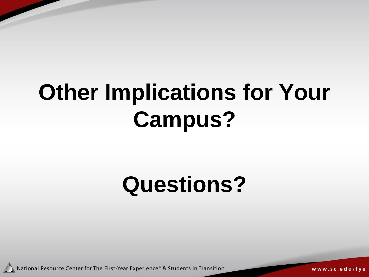# **Other Implications for Your Campus?**

## **Questions?**

National Resource Center for The First-Year Experience® & Students in Transition

www.sc.edu/fye